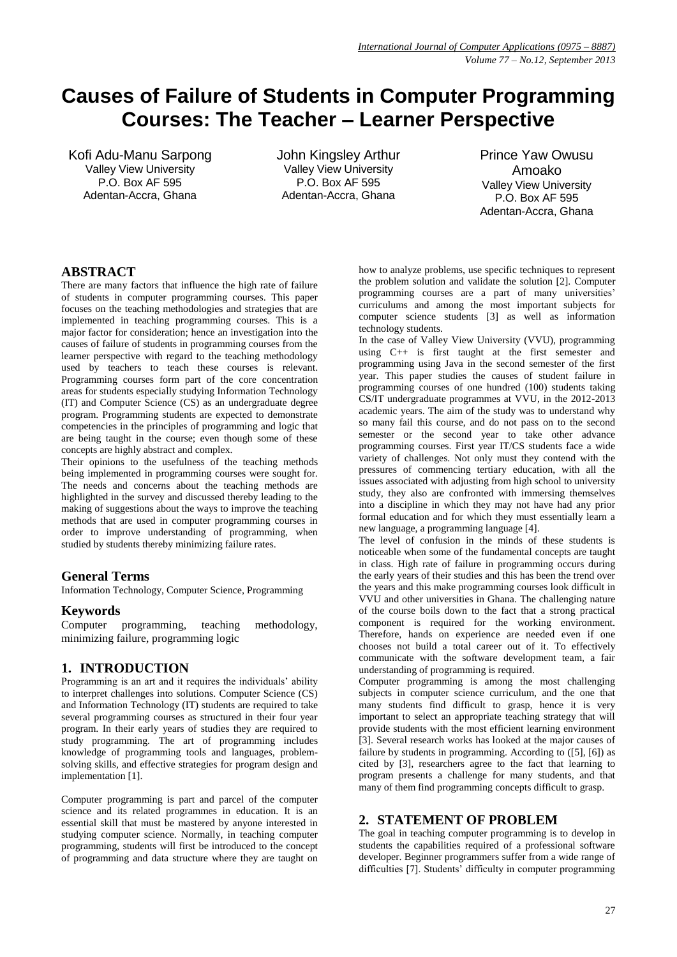# **Causes of Failure of Students in Computer Programming Courses: The Teacher – Learner Perspective**

Kofi Adu-Manu Sarpong Valley View University P.O. Box AF 595 Adentan-Accra, Ghana

John Kingsley Arthur Valley View University P.O. Box AF 595 Adentan-Accra, Ghana

Prince Yaw Owusu Amoako Valley View University P.O. Box AF 595 Adentan-Accra, Ghana

## **ABSTRACT**

There are many factors that influence the high rate of failure of students in computer programming courses. This paper focuses on the teaching methodologies and strategies that are implemented in teaching programming courses. This is a major factor for consideration; hence an investigation into the causes of failure of students in programming courses from the learner perspective with regard to the teaching methodology used by teachers to teach these courses is relevant. Programming courses form part of the core concentration areas for students especially studying Information Technology (IT) and Computer Science (CS) as an undergraduate degree program. Programming students are expected to demonstrate competencies in the principles of programming and logic that are being taught in the course; even though some of these concepts are highly abstract and complex.

Their opinions to the usefulness of the teaching methods being implemented in programming courses were sought for. The needs and concerns about the teaching methods are highlighted in the survey and discussed thereby leading to the making of suggestions about the ways to improve the teaching methods that are used in computer programming courses in order to improve understanding of programming, when studied by students thereby minimizing failure rates.

# **General Terms**

Information Technology, Computer Science, Programming

## **Keywords**

Computer programming, teaching methodology, minimizing failure, programming logic

# **1. INTRODUCTION**

Programming is an art and it requires the individuals' ability to interpret challenges into solutions. Computer Science (CS) and Information Technology (IT) students are required to take several programming courses as structured in their four year program. In their early years of studies they are required to study programming. The art of programming includes knowledge of programming tools and languages, problemsolving skills, and effective strategies for program design and implementation [1].

Computer programming is part and parcel of the computer science and its related programmes in education. It is an essential skill that must be mastered by anyone interested in studying computer science. Normally, in teaching computer programming, students will first be introduced to the concept of programming and data structure where they are taught on how to analyze problems, use specific techniques to represent the problem solution and validate the solution [2]. Computer programming courses are a part of many universities' curriculums and among the most important subjects for computer science students [3] as well as information technology students.

In the case of Valley View University (VVU), programming using C++ is first taught at the first semester and programming using Java in the second semester of the first year. This paper studies the causes of student failure in programming courses of one hundred (100) students taking CS/IT undergraduate programmes at VVU, in the 2012-2013 academic years. The aim of the study was to understand why so many fail this course, and do not pass on to the second semester or the second year to take other advance programming courses. First year IT/CS students face a wide variety of challenges. Not only must they contend with the pressures of commencing tertiary education, with all the issues associated with adjusting from high school to university study, they also are confronted with immersing themselves into a discipline in which they may not have had any prior formal education and for which they must essentially learn a new language, a programming language [4].

The level of confusion in the minds of these students is noticeable when some of the fundamental concepts are taught in class. High rate of failure in programming occurs during the early years of their studies and this has been the trend over the years and this make programming courses look difficult in VVU and other universities in Ghana. The challenging nature of the course boils down to the fact that a strong practical component is required for the working environment. Therefore, hands on experience are needed even if one chooses not build a total career out of it. To effectively communicate with the software development team, a fair understanding of programming is required.

Computer programming is among the most challenging subjects in computer science curriculum, and the one that many students find difficult to grasp, hence it is very important to select an appropriate teaching strategy that will provide students with the most efficient learning environment [3]. Several research works has looked at the major causes of failure by students in programming. According to ([5], [6]) as cited by [3], researchers agree to the fact that learning to program presents a challenge for many students, and that many of them find programming concepts difficult to grasp.

#### **2. STATEMENT OF PROBLEM**

The goal in teaching computer programming is to develop in students the capabilities required of a professional software developer. Beginner programmers suffer from a wide range of difficulties [7]. Students' difficulty in computer programming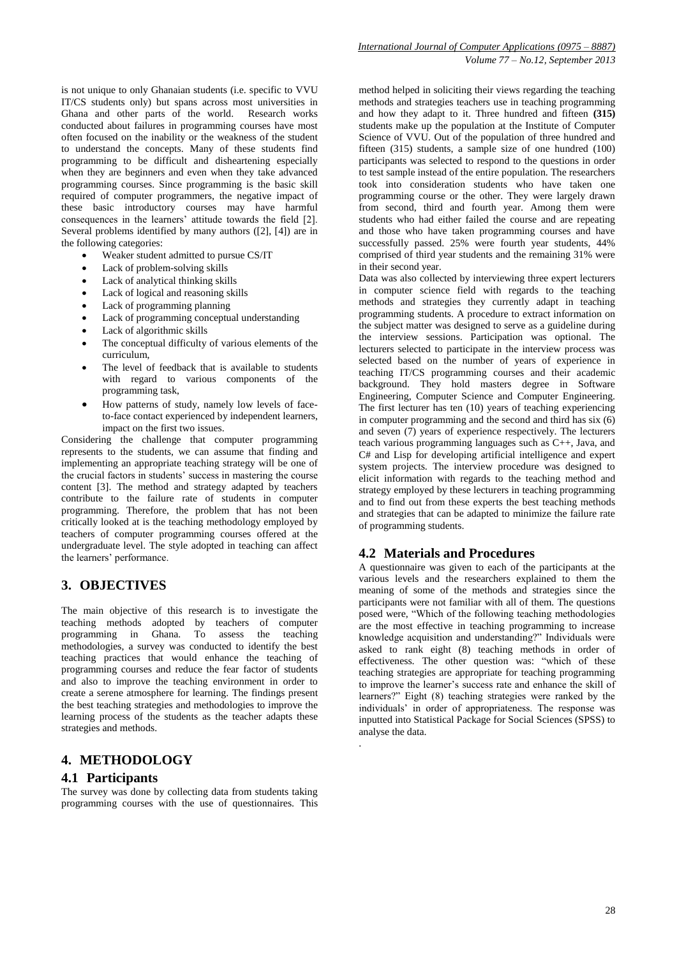is not unique to only Ghanaian students (i.e. specific to VVU IT/CS students only) but spans across most universities in Ghana and other parts of the world. Research works conducted about failures in programming courses have most often focused on the inability or the weakness of the student to understand the concepts. Many of these students find programming to be difficult and disheartening especially when they are beginners and even when they take advanced programming courses. Since programming is the basic skill required of computer programmers, the negative impact of these basic introductory courses may have harmful consequences in the learners' attitude towards the field [2]. Several problems identified by many authors ([2], [4]) are in the following categories:

- Weaker student admitted to pursue CS/IT
- Lack of problem-solving skills
- Lack of analytical thinking skills
- Lack of logical and reasoning skills
- Lack of programming planning
- Lack of programming conceptual understanding
- Lack of algorithmic skills
- The conceptual difficulty of various elements of the curriculum,
- The level of feedback that is available to students with regard to various components of the programming task,
- How patterns of study, namely low levels of faceto-face contact experienced by independent learners, impact on the first two issues.

Considering the challenge that computer programming represents to the students, we can assume that finding and implementing an appropriate teaching strategy will be one of the crucial factors in students' success in mastering the course content [3]. The method and strategy adapted by teachers contribute to the failure rate of students in computer programming. Therefore, the problem that has not been critically looked at is the teaching methodology employed by teachers of computer programming courses offered at the undergraduate level. The style adopted in teaching can affect the learners' performance.

#### **3. OBJECTIVES**

The main objective of this research is to investigate the teaching methods adopted by teachers of computer programming in Ghana. To assess the teaching methodologies, a survey was conducted to identify the best teaching practices that would enhance the teaching of programming courses and reduce the fear factor of students and also to improve the teaching environment in order to create a serene atmosphere for learning. The findings present the best teaching strategies and methodologies to improve the learning process of the students as the teacher adapts these strategies and methods.

#### **4. METHODOLOGY**

#### **4.1 Participants**

The survey was done by collecting data from students taking programming courses with the use of questionnaires. This

method helped in soliciting their views regarding the teaching methods and strategies teachers use in teaching programming and how they adapt to it. Three hundred and fifteen **(315)** students make up the population at the Institute of Computer Science of VVU. Out of the population of three hundred and fifteen (315) students, a sample size of one hundred (100) participants was selected to respond to the questions in order to test sample instead of the entire population. The researchers took into consideration students who have taken one programming course or the other. They were largely drawn from second, third and fourth year. Among them were students who had either failed the course and are repeating and those who have taken programming courses and have successfully passed. 25% were fourth year students, 44% comprised of third year students and the remaining 31% were in their second year.

Data was also collected by interviewing three expert lecturers in computer science field with regards to the teaching methods and strategies they currently adapt in teaching programming students. A procedure to extract information on the subject matter was designed to serve as a guideline during the interview sessions. Participation was optional. The lecturers selected to participate in the interview process was selected based on the number of years of experience in teaching IT/CS programming courses and their academic background. They hold masters degree in Software Engineering, Computer Science and Computer Engineering. The first lecturer has ten (10) years of teaching experiencing in computer programming and the second and third has six (6) and seven  $(7)$  years of experience respectively. The lecturers teach various programming languages such as C++, Java, and C# and Lisp for developing artificial intelligence and expert system projects. The interview procedure was designed to elicit information with regards to the teaching method and strategy employed by these lecturers in teaching programming and to find out from these experts the best teaching methods and strategies that can be adapted to minimize the failure rate of programming students.

#### **4.2 Materials and Procedures**

.

A questionnaire was given to each of the participants at the various levels and the researchers explained to them the meaning of some of the methods and strategies since the participants were not familiar with all of them. The questions posed were, "Which of the following teaching methodologies are the most effective in teaching programming to increase knowledge acquisition and understanding?" Individuals were asked to rank eight (8) teaching methods in order of effectiveness. The other question was: "which of these teaching strategies are appropriate for teaching programming to improve the learner's success rate and enhance the skill of learners?" Eight (8) teaching strategies were ranked by the individuals' in order of appropriateness. The response was inputted into Statistical Package for Social Sciences (SPSS) to analyse the data.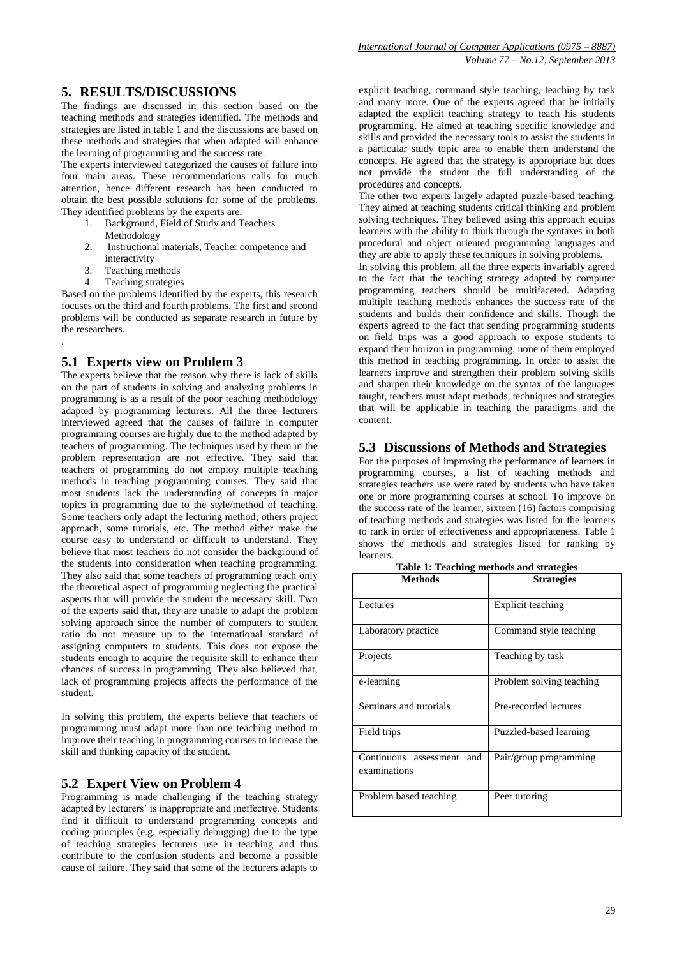## **5. RESULTS/DISCUSSIONS**

The findings are discussed in this section based on the teaching methods and strategies identified. The methods and strategies are listed in table 1 and the discussions are based on these methods and strategies that when adapted will enhance the learning of programming and the success rate.

The experts interviewed categorized the causes of failure into four main areas. These recommendations calls for much attention, hence different research has been conducted to obtain the best possible solutions for some of the problems. They identified problems by the experts are:

- 1. Background, Field of Study and Teachers Methodology
- 2. Instructional materials, Teacher competence and interactivity
- 3. Teaching methods
- 4. Teaching strategies

.

Based on the problems identified by the experts, this research focuses on the third and fourth problems. The first and second problems will be conducted as separate research in future by the researchers.

## **5.1 Experts view on Problem 3**

The experts believe that the reason why there is lack of skills on the part of students in solving and analyzing problems in programming is as a result of the poor teaching methodology adapted by programming lecturers. All the three lecturers interviewed agreed that the causes of failure in computer programming courses are highly due to the method adapted by teachers of programming. The techniques used by them in the problem representation are not effective. They said that teachers of programming do not employ multiple teaching methods in teaching programming courses. They said that most students lack the understanding of concepts in major topics in programming due to the style/method of teaching. Some teachers only adapt the lecturing method; others project approach, some tutorials, etc. The method either make the course easy to understand or difficult to understand. They believe that most teachers do not consider the background of the students into consideration when teaching programming. They also said that some teachers of programming teach only the theoretical aspect of programming neglecting the practical aspects that will provide the student the necessary skill. Two of the experts said that, they are unable to adapt the problem solving approach since the number of computers to student ratio do not measure up to the international standard of assigning computers to students. This does not expose the students enough to acquire the requisite skill to enhance their chances of success in programming. They also believed that, lack of programming projects affects the performance of the student.

In solving this problem, the experts believe that teachers of programming must adapt more than one teaching method to improve their teaching in programming courses to increase the skill and thinking capacity of the student.

#### **5.2 Expert View on Problem 4**

Programming is made challenging if the teaching strategy adapted by lecturers' is inappropriate and ineffective. Students find it difficult to understand programming concepts and coding principles (e.g. especially debugging) due to the type of teaching strategies lecturers use in teaching and thus contribute to the confusion students and become a possible cause of failure. They said that some of the lecturers adapts to

explicit teaching, command style teaching, teaching by task and many more. One of the experts agreed that he initially adapted the explicit teaching strategy to teach his students programming. He aimed at teaching specific knowledge and skills and provided the necessary tools to assist the students in a particular study topic area to enable them understand the concepts. He agreed that the strategy is appropriate but does not provide the student the full understanding of the procedures and concepts.

The other two experts largely adapted puzzle-based teaching. They aimed at teaching students critical thinking and problem solving techniques. They believed using this approach equips learners with the ability to think through the syntaxes in both procedural and object oriented programming languages and they are able to apply these techniques in solving problems.

In solving this problem, all the three experts invariably agreed to the fact that the teaching strategy adapted by computer programming teachers should be multifaceted. Adapting multiple teaching methods enhances the success rate of the students and builds their confidence and skills. Though the experts agreed to the fact that sending programming students on field trips was a good approach to expose students to expand their horizon in programming, none of them employed this method in teaching programming. In order to assist the learners improve and strengthen their problem solving skills and sharpen their knowledge on the syntax of the languages taught, teachers must adapt methods, techniques and strategies that will be applicable in teaching the paradigms and the content.

#### **5.3 Discussions of Methods and Strategies**

For the purposes of improving the performance of learners in programming courses, a list of teaching methods and strategies teachers use were rated by students who have taken one or more programming courses at school. To improve on the success rate of the learner, sixteen (16) factors comprising of teaching methods and strategies was listed for the learners to rank in order of effectiveness and appropriateness. Table 1 shows the methods and strategies listed for ranking by learners.

| <b>Methods</b>                               | <b>Strategies</b>        |
|----------------------------------------------|--------------------------|
| Lectures                                     | Explicit teaching        |
| Laboratory practice                          | Command style teaching   |
| Projects                                     | Teaching by task         |
| e-learning                                   | Problem solving teaching |
| Seminars and tutorials                       | Pre-recorded lectures    |
| Field trips                                  | Puzzled-based learning   |
| Continuous assessment<br>and<br>examinations | Pair/group programming   |
| Problem based teaching                       | Peer tutoring            |

**Table 1: Teaching methods and strategies**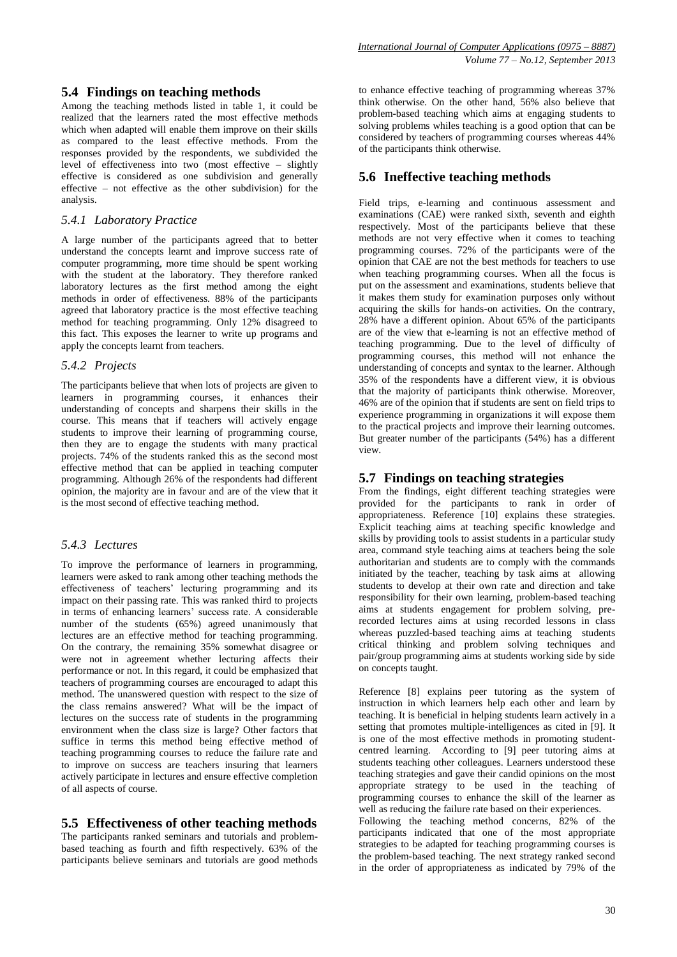## **5.4 Findings on teaching methods**

Among the teaching methods listed in table 1, it could be realized that the learners rated the most effective methods which when adapted will enable them improve on their skills as compared to the least effective methods. From the responses provided by the respondents, we subdivided the level of effectiveness into two (most effective – slightly effective is considered as one subdivision and generally effective – not effective as the other subdivision) for the analysis.

#### *5.4.1 Laboratory Practice*

A large number of the participants agreed that to better understand the concepts learnt and improve success rate of computer programming, more time should be spent working with the student at the laboratory. They therefore ranked laboratory lectures as the first method among the eight methods in order of effectiveness. 88% of the participants agreed that laboratory practice is the most effective teaching method for teaching programming. Only 12% disagreed to this fact. This exposes the learner to write up programs and apply the concepts learnt from teachers.

#### *5.4.2 Projects*

The participants believe that when lots of projects are given to learners in programming courses, it enhances their understanding of concepts and sharpens their skills in the course. This means that if teachers will actively engage students to improve their learning of programming course, then they are to engage the students with many practical projects. 74% of the students ranked this as the second most effective method that can be applied in teaching computer programming. Although 26% of the respondents had different opinion, the majority are in favour and are of the view that it is the most second of effective teaching method.

#### *5.4.3 Lectures*

To improve the performance of learners in programming, learners were asked to rank among other teaching methods the effectiveness of teachers' lecturing programming and its impact on their passing rate. This was ranked third to projects in terms of enhancing learners' success rate. A considerable number of the students (65%) agreed unanimously that lectures are an effective method for teaching programming. On the contrary, the remaining 35% somewhat disagree or were not in agreement whether lecturing affects their performance or not. In this regard, it could be emphasized that teachers of programming courses are encouraged to adapt this method. The unanswered question with respect to the size of the class remains answered? What will be the impact of lectures on the success rate of students in the programming environment when the class size is large? Other factors that suffice in terms this method being effective method of teaching programming courses to reduce the failure rate and to improve on success are teachers insuring that learners actively participate in lectures and ensure effective completion of all aspects of course.

## **5.5 Effectiveness of other teaching methods**

The participants ranked seminars and tutorials and problembased teaching as fourth and fifth respectively. 63% of the participants believe seminars and tutorials are good methods

to enhance effective teaching of programming whereas 37% think otherwise. On the other hand, 56% also believe that problem-based teaching which aims at engaging students to solving problems whiles teaching is a good option that can be considered by teachers of programming courses whereas 44% of the participants think otherwise.

## **5.6 Ineffective teaching methods**

Field trips, e-learning and continuous assessment and examinations (CAE) were ranked sixth, seventh and eighth respectively. Most of the participants believe that these methods are not very effective when it comes to teaching programming courses. 72% of the participants were of the opinion that CAE are not the best methods for teachers to use when teaching programming courses. When all the focus is put on the assessment and examinations, students believe that it makes them study for examination purposes only without acquiring the skills for hands-on activities. On the contrary, 28% have a different opinion. About 65% of the participants are of the view that e-learning is not an effective method of teaching programming. Due to the level of difficulty of programming courses, this method will not enhance the understanding of concepts and syntax to the learner. Although 35% of the respondents have a different view, it is obvious that the majority of participants think otherwise. Moreover, 46% are of the opinion that if students are sent on field trips to experience programming in organizations it will expose them to the practical projects and improve their learning outcomes. But greater number of the participants (54%) has a different view.

#### **5.7 Findings on teaching strategies**

From the findings, eight different teaching strategies were provided for the participants to rank in order of appropriateness. Reference [10] explains these strategies. Explicit teaching aims at teaching specific knowledge and skills by providing tools to assist students in a particular study area, command style teaching aims at teachers being the sole authoritarian and students are to comply with the commands initiated by the teacher, teaching by task aims at allowing students to develop at their own rate and direction and take responsibility for their own learning, problem-based teaching aims at students engagement for problem solving, prerecorded lectures aims at using recorded lessons in class whereas puzzled-based teaching aims at teaching students critical thinking and problem solving techniques and pair/group programming aims at students working side by side on concepts taught.

Reference [8] explains peer tutoring as the system of instruction in which learners help each other and learn by teaching. It is beneficial in helping students learn actively in a setting that promotes multiple-intelligences as cited in [9]. It is one of the most effective methods in promoting studentcentred learning. According to [9] peer tutoring aims at students teaching other colleagues. Learners understood these teaching strategies and gave their candid opinions on the most appropriate strategy to be used in the teaching of programming courses to enhance the skill of the learner as well as reducing the failure rate based on their experiences.

Following the teaching method concerns, 82% of the participants indicated that one of the most appropriate strategies to be adapted for teaching programming courses is the problem-based teaching. The next strategy ranked second in the order of appropriateness as indicated by 79% of the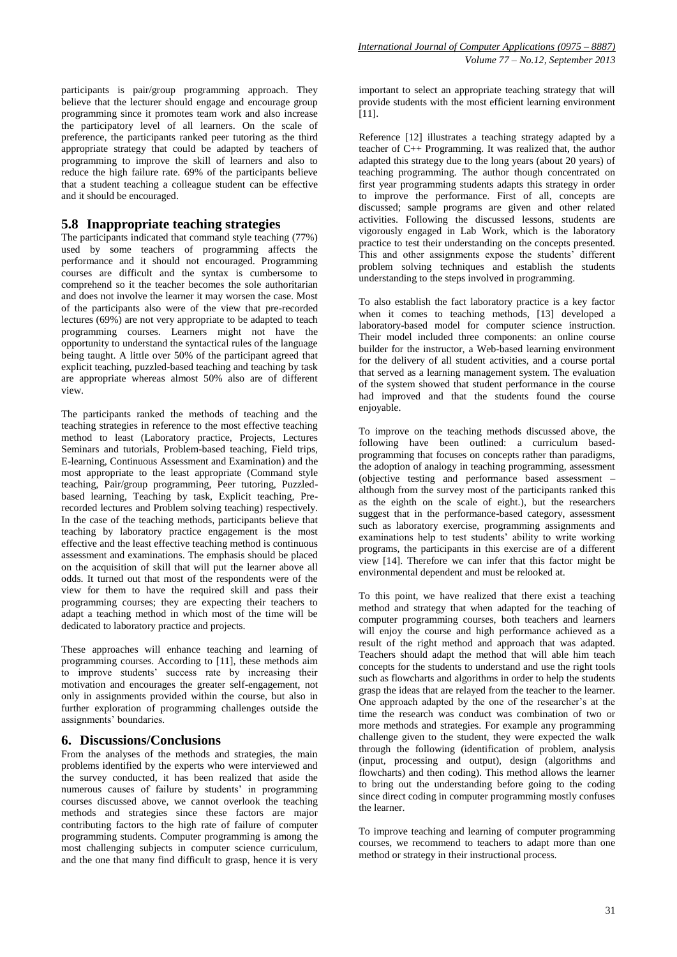participants is pair/group programming approach. They believe that the lecturer should engage and encourage group programming since it promotes team work and also increase the participatory level of all learners. On the scale of preference, the participants ranked peer tutoring as the third appropriate strategy that could be adapted by teachers of programming to improve the skill of learners and also to reduce the high failure rate. 69% of the participants believe that a student teaching a colleague student can be effective and it should be encouraged.

#### **5.8 Inappropriate teaching strategies**

The participants indicated that command style teaching (77%) used by some teachers of programming affects the performance and it should not encouraged. Programming courses are difficult and the syntax is cumbersome to comprehend so it the teacher becomes the sole authoritarian and does not involve the learner it may worsen the case. Most of the participants also were of the view that pre-recorded lectures (69%) are not very appropriate to be adapted to teach programming courses. Learners might not have the opportunity to understand the syntactical rules of the language being taught. A little over 50% of the participant agreed that explicit teaching, puzzled-based teaching and teaching by task are appropriate whereas almost 50% also are of different view.

The participants ranked the methods of teaching and the teaching strategies in reference to the most effective teaching method to least (Laboratory practice, Projects, Lectures Seminars and tutorials, Problem-based teaching, Field trips, E-learning, Continuous Assessment and Examination) and the most appropriate to the least appropriate (Command style teaching, Pair/group programming, Peer tutoring, Puzzledbased learning, Teaching by task, Explicit teaching, Prerecorded lectures and Problem solving teaching) respectively. In the case of the teaching methods, participants believe that teaching by laboratory practice engagement is the most effective and the least effective teaching method is continuous assessment and examinations. The emphasis should be placed on the acquisition of skill that will put the learner above all odds. It turned out that most of the respondents were of the view for them to have the required skill and pass their programming courses; they are expecting their teachers to adapt a teaching method in which most of the time will be dedicated to laboratory practice and projects.

These approaches will enhance teaching and learning of programming courses. According to [11], these methods aim to improve students' success rate by increasing their motivation and encourages the greater self-engagement, not only in assignments provided within the course, but also in further exploration of programming challenges outside the assignments' boundaries.

#### **6. Discussions/Conclusions**

From the analyses of the methods and strategies, the main problems identified by the experts who were interviewed and the survey conducted, it has been realized that aside the numerous causes of failure by students' in programming courses discussed above, we cannot overlook the teaching methods and strategies since these factors are major contributing factors to the high rate of failure of computer programming students. Computer programming is among the most challenging subjects in computer science curriculum, and the one that many find difficult to grasp, hence it is very

important to select an appropriate teaching strategy that will provide students with the most efficient learning environment [11].

Reference [12] illustrates a teaching strategy adapted by a teacher of C++ Programming. It was realized that, the author adapted this strategy due to the long years (about 20 years) of teaching programming. The author though concentrated on first year programming students adapts this strategy in order to improve the performance. First of all, concepts are discussed; sample programs are given and other related activities. Following the discussed lessons, students are vigorously engaged in Lab Work, which is the laboratory practice to test their understanding on the concepts presented. This and other assignments expose the students' different problem solving techniques and establish the students understanding to the steps involved in programming.

To also establish the fact laboratory practice is a key factor when it comes to teaching methods, [13] developed a laboratory-based model for computer science instruction. Their model included three components: an online course builder for the instructor, a Web-based learning environment for the delivery of all student activities, and a course portal that served as a learning management system. The evaluation of the system showed that student performance in the course had improved and that the students found the course enjoyable.

To improve on the teaching methods discussed above, the following have been outlined: a curriculum basedprogramming that focuses on concepts rather than paradigms, the adoption of analogy in teaching programming, assessment (objective testing and performance based assessment – although from the survey most of the participants ranked this as the eighth on the scale of eight.), but the researchers suggest that in the performance-based category, assessment such as laboratory exercise, programming assignments and examinations help to test students' ability to write working programs, the participants in this exercise are of a different view [14]. Therefore we can infer that this factor might be environmental dependent and must be relooked at.

To this point, we have realized that there exist a teaching method and strategy that when adapted for the teaching of computer programming courses, both teachers and learners will enjoy the course and high performance achieved as a result of the right method and approach that was adapted. Teachers should adapt the method that will able him teach concepts for the students to understand and use the right tools such as flowcharts and algorithms in order to help the students grasp the ideas that are relayed from the teacher to the learner. One approach adapted by the one of the researcher's at the time the research was conduct was combination of two or more methods and strategies. For example any programming challenge given to the student, they were expected the walk through the following (identification of problem, analysis (input, processing and output), design (algorithms and flowcharts) and then coding). This method allows the learner to bring out the understanding before going to the coding since direct coding in computer programming mostly confuses the learner.

To improve teaching and learning of computer programming courses, we recommend to teachers to adapt more than one method or strategy in their instructional process.